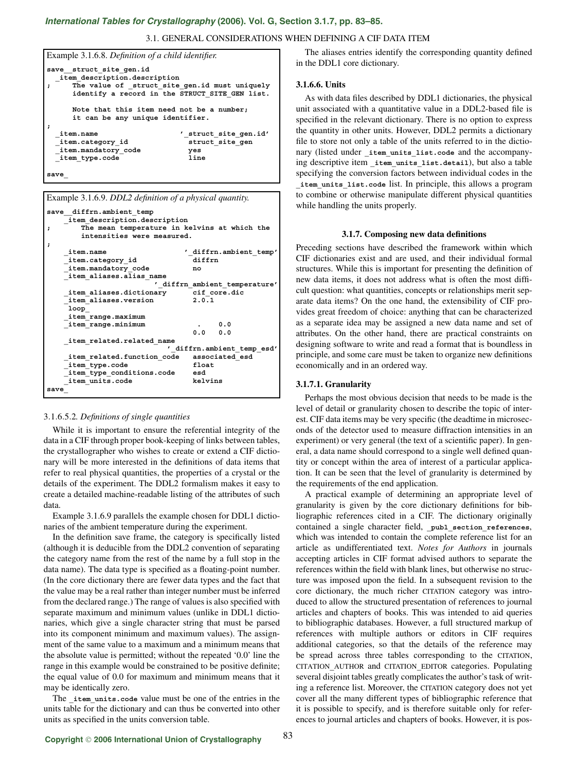# *[International Tables for Crystallography](http://it.iucr.org/Ga/ch3o1v0001/sec3o1o7/)* **(2006). Vol. G, Section 3.1.7, pp. 83–85.**

### 3.1. GENERAL CONSIDERATIONS WHEN DEFINING A CIF DATA ITEM

```
Example 3.1.6.8. Definition of a child identifier.
save__struct_site_gen.id
 _item_description.description
     ; The value of _struct_site_gen.id must uniquely
     identify a record in the STRUCT_SITE_GEN list.
     Note that this item need not be a number;
     it can be any unique identifier.
;
  _item.name '_struct_site_gen.id'
 _item.category_id struct_site_gen
  _item.mandatory_code yes
  _item_type.code line
save_
```

| Example 3.1.6.9. <i>DDL2 definition of a physical quantity</i> .                                              |              |                        |  |
|---------------------------------------------------------------------------------------------------------------|--------------|------------------------|--|
| save diffrn.ambient temp<br>item description.description<br>The mean temperature in kelvins at which the<br>; |              |                        |  |
| intensities were measured.                                                                                    |              |                        |  |
| ;                                                                                                             |              |                        |  |
| item.name                                                                                                     |              | ' diffrn.ambient temp' |  |
| item.category id                                                                                              | diffrn       |                        |  |
| item.mandatory code                                                                                           | no           |                        |  |
| item aliases.alias name                                                                                       |              |                        |  |
| diffrn ambient temperature'                                                                                   |              |                        |  |
| item aliases.dictionary cif core.dic                                                                          |              |                        |  |
| item aliases.version                                                                                          | 2.0.1        |                        |  |
| loop                                                                                                          |              |                        |  |
| item range.maximum                                                                                            |              |                        |  |
| item range.minimum                                                                                            |              | $\cdot$ 0.0            |  |
|                                                                                                               | $0.0 \t 0.0$ |                        |  |
| item related.related name                                                                                     |              |                        |  |
| diffrn.ambient temp esd'                                                                                      |              |                        |  |
| item related.function code                                                                                    |              | associated esd         |  |
| item type.code                                                                                                | float        |                        |  |
| item type conditions.code esd                                                                                 |              |                        |  |
| item units.code                                                                                               | kelvins      |                        |  |
| save                                                                                                          |              |                        |  |
|                                                                                                               |              |                        |  |

#### 3.1.6.5.2*. Definitions of single quantities*

While it is important to ensure the referential integrity of the data in a CIF through proper book-keeping of links between tables, the crystallographer who wishes to create or extend a CIF dictionary will be more interested in the definitions of data items that refer to real physical quantities, the properties of a crystal or the details of the experiment. The DDL2 formalism makes it easy to create a detailed machine-readable listing of the attributes of such data.

Example 3.1.6.9 parallels the example chosen for DDL1 dictionaries of the ambient temperature during the experiment.

In the definition save frame, the category is specifically listed (although it is deducible from the DDL2 convention of separating the category name from the rest of the name by a full stop in the data name). The data type is specified as a floating-point number. (In the core dictionary there are fewer data types and the fact that the value may be a real rather than integer number must be inferred from the declared range.) The range of values is also specified with separate maximum and minimum values (unlike in DDL1 dictionaries, which give a single character string that must be parsed into its component minimum and maximum values). The assignment of the same value to a maximum and a minimum means that the absolute value is permitted; without the repeated '0.0' line the range in this example would be constrained to be positive definite; the equal value of 0.0 for maximum and minimum means that it may be identically zero.

The *item* units.code value must be one of the entries in the units table for the dictionary and can thus be converted into other units as specified in the units conversion table.

The aliases entries identify the corresponding quantity defined in the DDL1 core dictionary.

### **3.1.6.6. Units**

As with data files described by DDL1 dictionaries, the physical unit associated with a quantitative value in a DDL2-based file is specified in the relevant dictionary. There is no option to express the quantity in other units. However, DDL2 permits a dictionary file to store not only a table of the units referred to in the dictionary (listed under **\_item\_units\_list.code** and the accompanying descriptive item **\_item\_units\_list.detail**), but also a table specifying the conversion factors between individual codes in the **\_item\_units\_list.code** list. In principle, this allows a program to combine or otherwise manipulate different physical quantities while handling the units properly.

#### **3.1.7. Composing new data definitions**

Preceding sections have described the framework within which CIF dictionaries exist and are used, and their individual formal structures. While this is important for presenting the definition of new data items, it does not address what is often the most difficult question: what quantities, concepts or relationships merit separate data items? On the one hand, the extensibility of CIF provides great freedom of choice: anything that can be characterized as a separate idea may be assigned a new data name and set of attributes. On the other hand, there are practical constraints on designing software to write and read a format that is boundless in principle, and some care must be taken to organize new definitions economically and in an ordered way.

## **3.1.7.1. Granularity**

Perhaps the most obvious decision that needs to be made is the level of detail or granularity chosen to describe the topic of interest. CIF data items may be very specific (the deadtime in microseconds of the detector used to measure diffraction intensities in an experiment) or very general (the text of a scientific paper). In general, a data name should correspond to a single well defined quantity or concept within the area of interest of a particular application. It can be seen that the level of granularity is determined by the requirements of the end application.

A practical example of determining an appropriate level of granularity is given by the core dictionary definitions for bibliographic references cited in a CIF. The dictionary originally contained a single character field, publ section references, which was intended to contain the complete reference list for an article as undifferentiated text. *Notes for Authors* in journals accepting articles in CIF format advised authors to separate the references within the field with blank lines, but otherwise no structure was imposed upon the field. In a subsequent revision to the core dictionary, the much richer CITATION category was introduced to allow the structured presentation of references to journal articles and chapters of books. This was intended to aid queries to bibliographic databases. However, a full structured markup of references with multiple authors or editors in CIF requires additional categories, so that the details of the reference may be spread across three tables corresponding to the CITATION, CITATION**\_**AUTHOR and CITATION**\_**EDITOR categories. Populating several disjoint tables greatly complicates the author's task of writing a reference list. Moreover, the CITATION category does not yet cover all the many different types of bibliographic reference that it is possible to specify, and is therefore suitable only for references to journal articles and chapters of books. However, it is pos-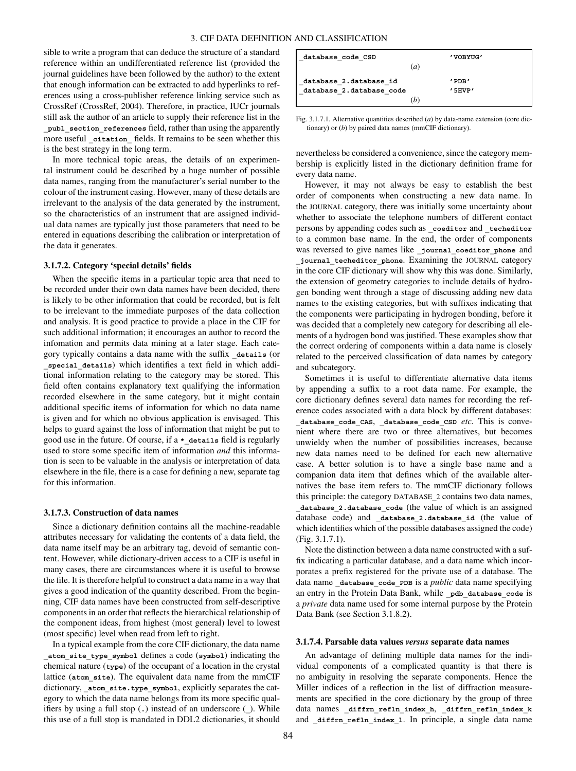sible to write a program that can deduce the structure of a standard reference within an undifferentiated reference list (provided the journal guidelines have been followed by the author) to the extent that enough information can be extracted to add hyperlinks to references using a cross-publisher reference linking service such as CrossRef (CrossRef, 2004). Therefore, in practice, IUCr journals still ask the author of an article to supply their reference list in the **\_publ\_section\_references** field, rather than using the apparently more useful citation fields. It remains to be seen whether this is the best strategy in the long term.

In more technical topic areas, the details of an experimental instrument could be described by a huge number of possible data names, ranging from the manufacturer's serial number to the colour of the instrument casing. However, many of these details are irrelevant to the analysis of the data generated by the instrument, so the characteristics of an instrument that are assigned individual data names are typically just those parameters that need to be entered in equations describing the calibration or interpretation of the data it generates.

# **3.1.7.2. Category 'special details' fields**

When the specific items in a particular topic area that need to be recorded under their own data names have been decided, there is likely to be other information that could be recorded, but is felt to be irrelevant to the immediate purposes of the data collection and analysis. It is good practice to provide a place in the CIF for such additional information; it encourages an author to record the infomation and permits data mining at a later stage. Each category typically contains a data name with the suffix **\_details** (or **\_special\_details**) which identifies a text field in which additional information relating to the category may be stored. This field often contains explanatory text qualifying the information recorded elsewhere in the same category, but it might contain additional specific items of information for which no data name is given and for which no obvious application is envisaged. This helps to guard against the loss of information that might be put to good use in the future. Of course, if a **\*\_details** field is regularly used to store some specific item of information *and* this information is seen to be valuable in the analysis or interpretation of data elsewhere in the file, there is a case for defining a new, separate tag for this information.

### **3.1.7.3. Construction of data names**

Since a dictionary definition contains all the machine-readable attributes necessary for validating the contents of a data field, the data name itself may be an arbitrary tag, devoid of semantic content. However, while dictionary-driven access to a CIF is useful in many cases, there are circumstances where it is useful to browse the file. It is therefore helpful to construct a data name in a way that gives a good indication of the quantity described. From the beginning, CIF data names have been constructed from self-descriptive components in an order that reflects the hierarchical relationship of the component ideas, from highest (most general) level to lowest (most specific) level when read from left to right.

In a typical example from the core CIF dictionary, the data name **\_atom\_site\_type\_symbol** defines a code (**symbol**) indicating the chemical nature (**type**) of the occupant of a location in the crystal lattice (**atom\_site**). The equivalent data name from the mmCIF dictionary, **\_atom\_site.type\_symbol**, explicitly separates the category to which the data name belongs from its more specific qualifiers by using a full stop (**.**) instead of an underscore (**\_**). While this use of a full stop is mandated in DDL2 dictionaries, it should

| database code CSD        |              | 'VOBYUG'     |
|--------------------------|--------------|--------------|
|                          | (a)          |              |
| database 2.database id   |              | $'$ PDB $'$  |
| database 2.database code |              | $'$ SHVP $'$ |
|                          | ( <i>b</i> ) |              |

Fig. 3.1.7.1. Alternative quantities described (*a*) by data-name extension (core dictionary) or (*b*) by paired data names (mmCIF dictionary).

nevertheless be considered a convenience, since the category membership is explicitly listed in the dictionary definition frame for every data name.

However, it may not always be easy to establish the best order of components when constructing a new data name. In the JOURNAL category, there was initially some uncertainty about whether to associate the telephone numbers of different contact persons by appending codes such as **\_coeditor** and **\_techeditor** to a common base name. In the end, the order of components was reversed to give names like journal coeditor phone and **\_journal\_techeditor\_phone**. Examining the JOURNAL category in the core CIF dictionary will show why this was done. Similarly, the extension of geometry categories to include details of hydrogen bonding went through a stage of discussing adding new data names to the existing categories, but with suffixes indicating that the components were participating in hydrogen bonding, before it was decided that a completely new category for describing all elements of a hydrogen bond was justified. These examples show that the correct ordering of components within a data name is closely related to the perceived classification of data names by category and subcategory.

Sometimes it is useful to differentiate alternative data items by appending a suffix to a root data name. For example, the core dictionary defines several data names for recording the reference codes associated with a data block by different databases: **\_database\_code\_CAS**, **\_database\_code\_CSD** *etc.* This is convenient where there are two or three alternatives, but becomes unwieldy when the number of possibilities increases, because new data names need to be defined for each new alternative case. A better solution is to have a single base name and a companion data item that defines which of the available alternatives the base item refers to. The mmCIF dictionary follows this principle: the category DATABASE**\_**2 contains two data names, **\_database\_2.database\_code** (the value of which is an assigned database code) and **\_database\_2.database\_id** (the value of which identifies which of the possible databases assigned the code) (Fig. 3.1.7.1).

Note the distinction between a data name constructed with a suffix indicating a particular database, and a data name which incorporates a prefix registered for the private use of a database. The data name **\_database\_code\_PDB** is a *public* data name specifying an entry in the Protein Data Bank, while **\_pdb\_database\_code** is a *private* data name used for some internal purpose by the Protein Data Bank (see Section 3.1.8.2).

#### **3.1.7.4. Parsable data values** *versus* **separate data names**

An advantage of defining multiple data names for the individual components of a complicated quantity is that there is no ambiguity in resolving the separate components. Hence the Miller indices of a reflection in the list of diffraction measurements are specified in the core dictionary by the group of three data names **\_diffrn\_refln\_index\_h**, **\_diffrn\_refln\_index\_k** and **\_diffrn\_refln\_index\_l**. In principle, a single data name